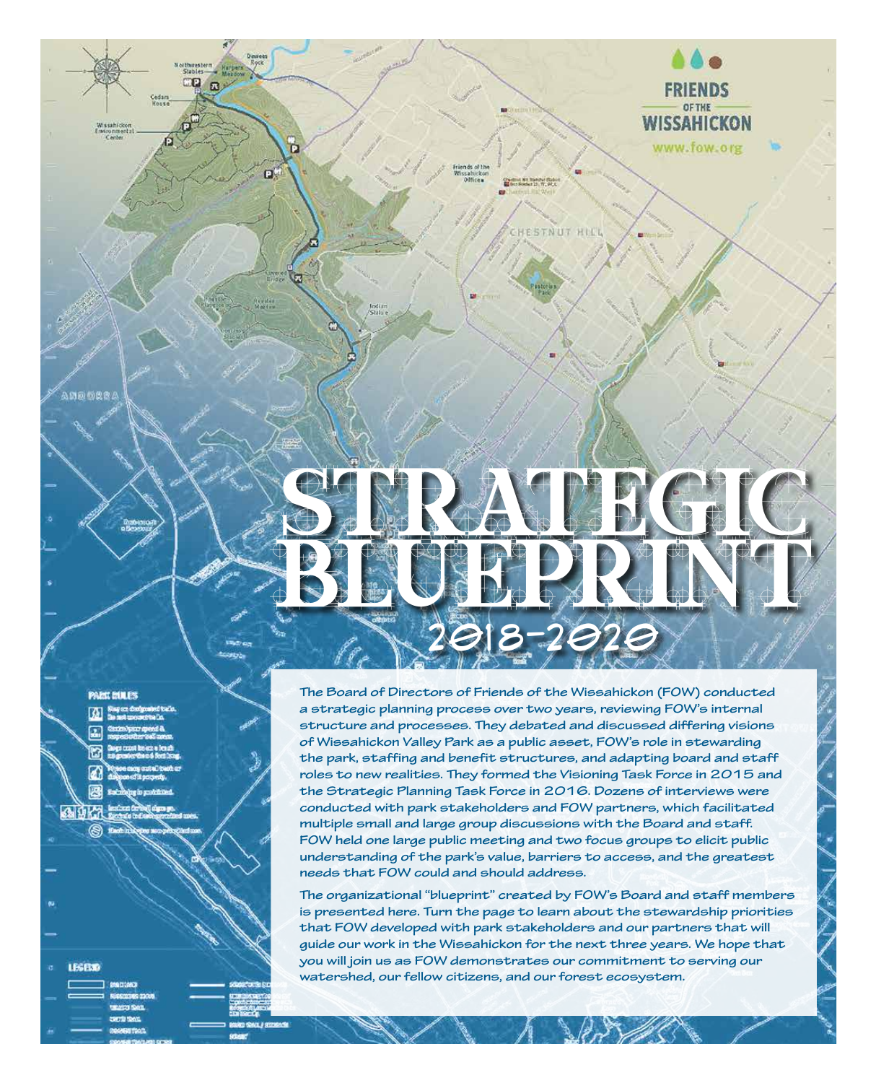Chedrud Nit Transfer State

HESTNUT HILL

**WISSAHICKON** 

www.fow.org

**PARK RULES** 

100000

 $\mathbf{p}$ 

ñ

o.

- 
- 
- 
- 
- 
- 

a 9K.

**LEGENO** 

The Board of Directors of Friends of the Wissahickon (FOW) conducted a strategic planning process over two years, reviewing FOW's internal structure and processes. They debated and discussed differing visions of Wissahickon Valley Park as a public asset, FOW's role in stewarding the park, staffing and benefit structures, and adapting board and staff roles to new realities. They formed the Visioning Task Force in 2015 and the Strategic Planning Task Force in 2016. Dozens of interviews were conducted with park stakeholders and FOW partners, which facilitated multiple small and large group discussions with the Board and staff. FOW held one large public meeting and two focus groups to elicit public understanding of the park's value, barriers to access, and the greatest needs that FOW could and should address.

The organizational "blueprint" created by FOW's Board and staff members is presented here. Turn the page to learn about the stewardship priorities that FOW developed with park stakeholders and our partners that will guide our work in the Wissahickon for the next three years. We hope that you will join us as FOW demonstrates our commitment to serving our watershed, our fellow citizens, and our forest ecosystem.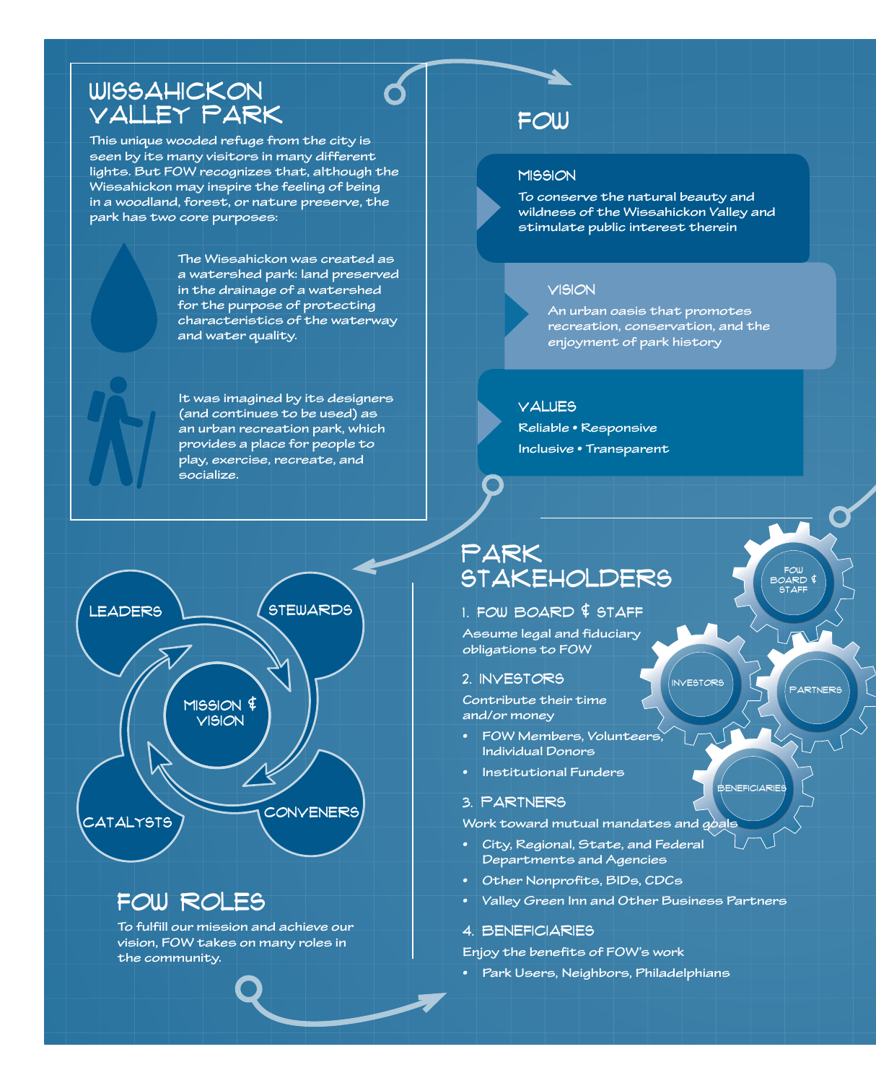### **WISSAHICKON** VALLEY PARK

**This unique wooded refuge from the city is seen by its many visitors in many different lights. But FOW recognizes that, although the Wissahickon may inspire the feeling of being in a woodland, forest, or nature preserve, the park has two core purposes:**

> **The Wissahickon was created as a watershed park: land preserved in the drainage of a watershed for the purpose of protecting characteristics of the waterway and water quality.**

**It was imagined by its designers (and continues to be used) as an urban recreation park, which provides a place for people to play, exercise, recreate, and socialize.**



## FOW ROLES

**To fulfill our mission and achieve our vision, FOW takes on many roles in the community.**

### FOW

### **MISSION**

**To conserve the natural beauty and wildness of the Wissahickon Valley and stimulate public interest therein**

#### VISION

**An urban oasis that promotes recreation, conservation, and the enjoyment of park history**

#### **VALUES**

**Reliable • Responsive Inclusive • Transparent**

### PARK STAKEHOLDERS

### 1. FOW BOARD  $$$  STAFF

**Assume legal and fiduciary obligations to FOW**

### 2. INVESTORS

**Contribute their time and/or money**

- **FOW Members, Volunteers, Individual Donors**
- **Institutional Funders**

### 3. PARTNERS

**Work toward mutual mandates and goals**

- **City, Regional, State, and Federal Departments and Agencies**
- **Other Nonprofits, BIDs, CDCs**
- **Valley Green Inn and Other Business Partners**

### 4. BENEFICIARIES

**Enjoy the benefits of FOW's work**

**• Park Users, Neighbors, Philadelphians** 

PARTNERS

**BENEFICIARIES** 

INVESTORS

FOW BOARD & STAFF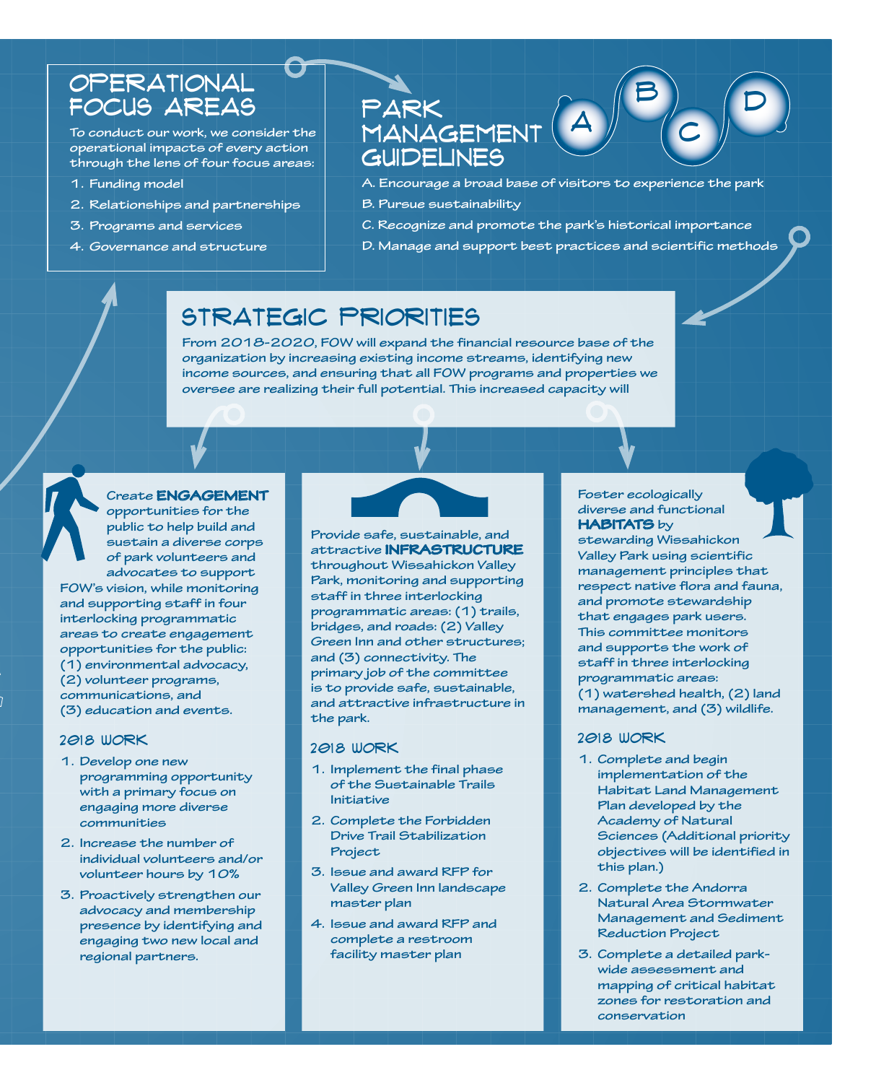### OPERATIONAL FOCUS AREAS

**To conduct our work, we consider the operational impacts of every action through the lens of four focus areas:**

- **1. Funding model**
- **2. Relationships and partnerships**
- **3. Programs and services**
- **4. Governance and structure**

### PARK MANAGEMENT **GUIDELINES**

**A. Encourage a broad base of visitors to experience the park**

A

 $\mathsf{B} \Big) \ \ \ \ \ \ \mathsf{D}$ 

C

- **B. Pursue sustainability**
- **C. Recognize and promote the park's historical importance**
- **D. Manage and support best practices and scientific methods**

### STRATEGIC PRIORITIES

**From 2018-2020, FOW will expand the financial resource base of the organization by increasing existing income streams, identifying new income sources, and ensuring that all FOW programs and properties we oversee are realizing their full potential. This increased capacity will** 

### **Create ENGAGEMENT**

**opportunities for the public to help build and sustain a diverse corps of park volunteers and advocates to support FOW's vision, while monitoring and supporting staff in four interlocking programmatic areas to create engagement opportunities for the public: (1) environmental advocacy, (2) volunteer programs, communications, and (3) education and events.** 

### 2018 WORK

- **1. Develop one new programming opportunity with a primary focus on engaging more diverse communities**
- **2. Increase the number of individual volunteers and/or volunteer hours by 10%**
- **3. Proactively strengthen our advocacy and membership presence by identifying and engaging two new local and regional partners.**



**Provide safe, sustainable, and attractive INFRASTRUCTURE throughout Wissahickon Valley Park, monitoring and supporting staff in three interlocking programmatic areas: (1) trails, bridges, and roads: (2) Valley Green Inn and other structures; and (3) connectivity. The primary job of the committee is to provide safe, sustainable, and attractive infrastructure in the park.**

#### 2018 WORK

- **1. Implement the final phase of the Sustainable Trails Initiative**
- **2. Complete the Forbidden Drive Trail Stabilization Project**
- **3. Issue and award RFP for Valley Green Inn landscape master plan**
- **4. Issue and award RFP and complete a restroom facility master plan**

#### **Foster ecologically diverse and functional HABITATS by**

**stewarding Wissahickon Valley Park using scientific management principles that respect native flora and fauna, and promote stewardship that engages park users. This committee monitors and supports the work of staff in three interlocking programmatic areas: (1) watershed health, (2) land management, and (3) wildlife.** 

### 2018 WORK

- **1. Complete and begin implementation of the Habitat Land Management Plan developed by the Academy of Natural Sciences (Additional priority objectives will be identified in this plan.)**
- **2. Complete the Andorra Natural Area Stormwater Management and Sediment Reduction Project**
- **3. Complete a detailed parkwide assessment and mapping of critical habitat zones for restoration and conservation**